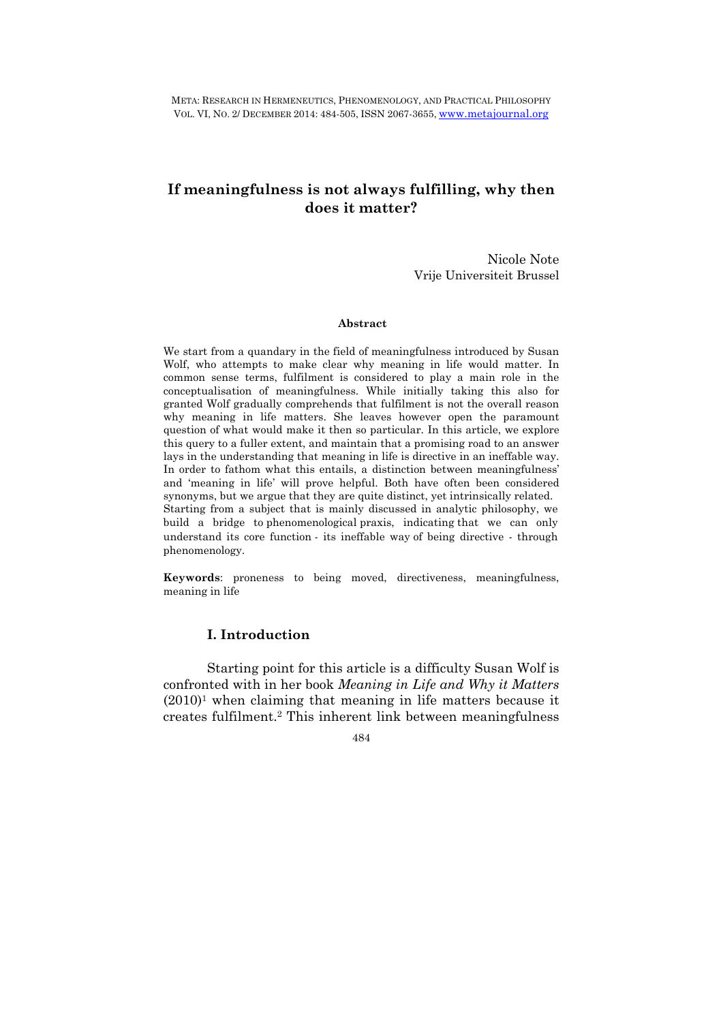META: RESEARCH IN HERMENEUTICS, PHENOMENOLOGY, AND PRACTICAL PHILOSOPHY VOL. VI, NO. 2/ DECEMBER 2014: 484-505, ISSN 2067-3655, www.metajournal.org

## **If meaningfulness is not always fulfilling, why then does it matter?**

Nicole Note Vrije Universiteit Brussel

#### **Abstract**

We start from a quandary in the field of meaningfulness introduced by Susan Wolf, who attempts to make clear why meaning in life would matter. In common sense terms, fulfilment is considered to play a main role in the conceptualisation of meaningfulness. While initially taking this also for granted Wolf gradually comprehends that fulfilment is not the overall reason why meaning in life matters. She leaves however open the paramount question of what would make it then so particular. In this article, we explore this query to a fuller extent, and maintain that a promising road to an answer lays in the understanding that meaning in life is directive in an ineffable way. In order to fathom what this entails, a distinction between meaningfulness' and 'meaning in life' will prove helpful. Both have often been considered synonyms, but we argue that they are quite distinct, yet intrinsically related. Starting from a subject that is mainly discussed in analytic philosophy, we build a bridge to phenomenological praxis, indicating that we can only understand its core function - its ineffable way of being directive - through phenomenology.

**Keywords**: proneness to being moved, directiveness, meaningfulness, meaning in life

## **I. Introduction**

Starting point for this article is a difficulty Susan Wolf is confronted with in her book *Meaning in Life and Why it Matters*  $(2010)^1$  when claiming that meaning in life matters because it creates fulfilment.2 This inherent link between meaningfulness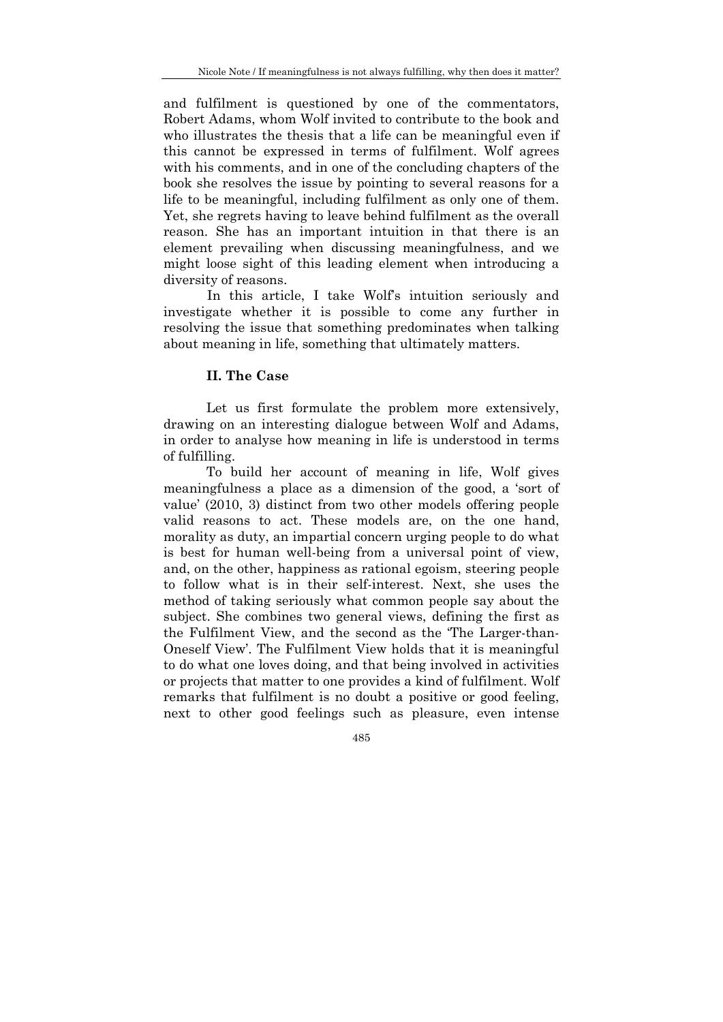and fulfilment is questioned by one of the commentators, Robert Adams, whom Wolf invited to contribute to the book and who illustrates the thesis that a life can be meaningful even if this cannot be expressed in terms of fulfilment. Wolf agrees with his comments, and in one of the concluding chapters of the book she resolves the issue by pointing to several reasons for a life to be meaningful, including fulfilment as only one of them. Yet, she regrets having to leave behind fulfilment as the overall reason. She has an important intuition in that there is an element prevailing when discussing meaningfulness, and we might loose sight of this leading element when introducing a diversity of reasons.

 In this article, I take Wolf's intuition seriously and investigate whether it is possible to come any further in resolving the issue that something predominates when talking about meaning in life, something that ultimately matters.

## **II. The Case**

 Let us first formulate the problem more extensively, drawing on an interesting dialogue between Wolf and Adams, in order to analyse how meaning in life is understood in terms of fulfilling.

To build her account of meaning in life, Wolf gives meaningfulness a place as a dimension of the good, a 'sort of value' (2010, 3) distinct from two other models offering people valid reasons to act. These models are, on the one hand, morality as duty, an impartial concern urging people to do what is best for human well-being from a universal point of view, and, on the other, happiness as rational egoism, steering people to follow what is in their self-interest. Next, she uses the method of taking seriously what common people say about the subject. She combines two general views, defining the first as the Fulfilment View, and the second as the 'The Larger-than-Oneself View'. The Fulfilment View holds that it is meaningful to do what one loves doing, and that being involved in activities or projects that matter to one provides a kind of fulfilment. Wolf remarks that fulfilment is no doubt a positive or good feeling, next to other good feelings such as pleasure, even intense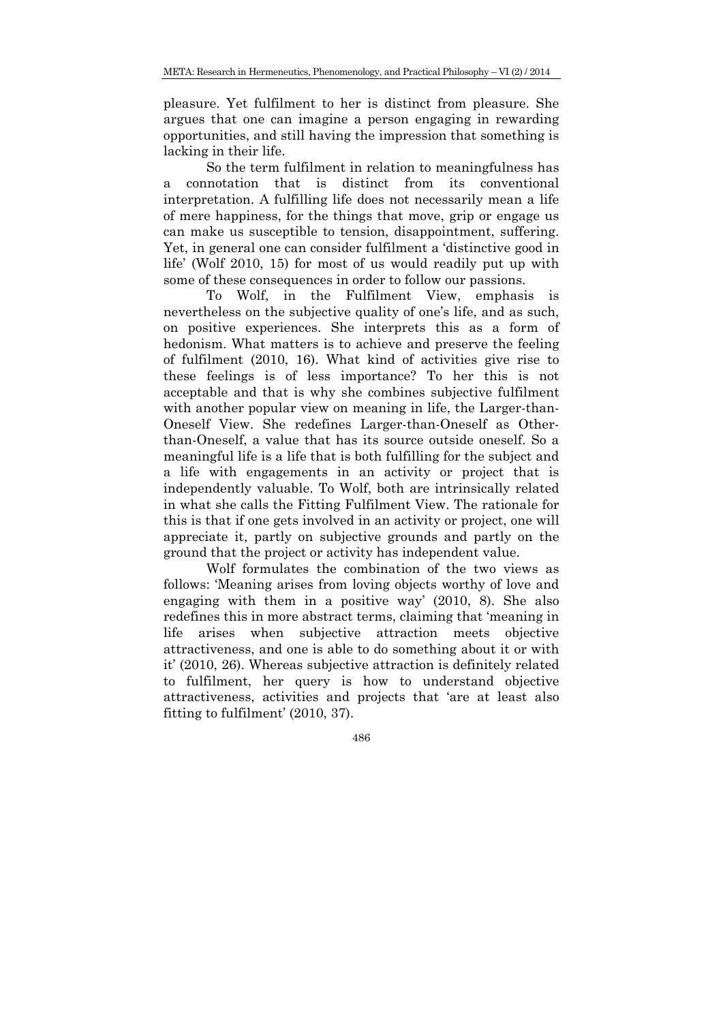pleasure. Yet fulfilment to her is distinct from pleasure. She argues that one can imagine a person engaging in rewarding opportunities, and still having the impression that something is lacking in their life.

So the term fulfilment in relation to meaningfulness has a connotation that is distinct from its conventional interpretation. A fulfilling life does not necessarily mean a life of mere happiness, for the things that move, grip or engage us can make us susceptible to tension, disappointment, suffering. Yet, in general one can consider fulfilment a 'distinctive good in life' (Wolf 2010, 15) for most of us would readily put up with some of these consequences in order to follow our passions.

To Wolf, in the Fulfilment View, emphasis is nevertheless on the subjective quality of one's life, and as such, on positive experiences. She interprets this as a form of hedonism. What matters is to achieve and preserve the feeling of fulfilment (2010, 16). What kind of activities give rise to these feelings is of less importance? To her this is not acceptable and that is why she combines subjective fulfilment with another popular view on meaning in life, the Larger-than-Oneself View. She redefines Larger-than-Oneself as Otherthan-Oneself, a value that has its source outside oneself. So a meaningful life is a life that is both fulfilling for the subject and a life with engagements in an activity or project that is independently valuable. To Wolf, both are intrinsically related in what she calls the Fitting Fulfilment View. The rationale for this is that if one gets involved in an activity or project, one will appreciate it, partly on subjective grounds and partly on the ground that the project or activity has independent value.

Wolf formulates the combination of the two views as follows: 'Meaning arises from loving objects worthy of love and engaging with them in a positive way' (2010, 8). She also redefines this in more abstract terms, claiming that 'meaning in life arises when subjective attraction meets objective attractiveness, and one is able to do something about it or with it' (2010, 26). Whereas subjective attraction is definitely related to fulfilment, her query is how to understand objective attractiveness, activities and projects that 'are at least also fitting to fulfilment' (2010, 37).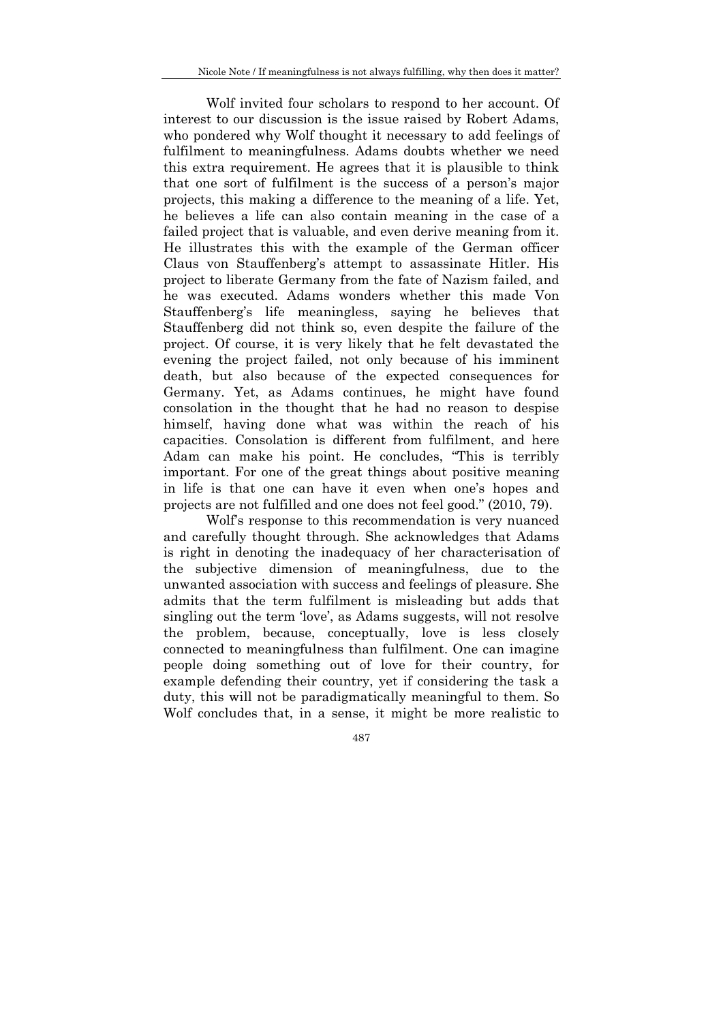Wolf invited four scholars to respond to her account. Of interest to our discussion is the issue raised by Robert Adams, who pondered why Wolf thought it necessary to add feelings of fulfilment to meaningfulness. Adams doubts whether we need this extra requirement. He agrees that it is plausible to think that one sort of fulfilment is the success of a person's major projects, this making a difference to the meaning of a life. Yet, he believes a life can also contain meaning in the case of a failed project that is valuable, and even derive meaning from it. He illustrates this with the example of the German officer Claus von Stauffenberg's attempt to assassinate Hitler. His project to liberate Germany from the fate of Nazism failed, and he was executed. Adams wonders whether this made Von Stauffenberg's life meaningless, saying he believes that Stauffenberg did not think so, even despite the failure of the project. Of course, it is very likely that he felt devastated the evening the project failed, not only because of his imminent death, but also because of the expected consequences for Germany. Yet, as Adams continues, he might have found consolation in the thought that he had no reason to despise himself, having done what was within the reach of his capacities. Consolation is different from fulfilment, and here Adam can make his point. He concludes, "This is terribly important. For one of the great things about positive meaning in life is that one can have it even when one's hopes and projects are not fulfilled and one does not feel good." (2010, 79).

Wolf's response to this recommendation is very nuanced and carefully thought through. She acknowledges that Adams is right in denoting the inadequacy of her characterisation of the subjective dimension of meaningfulness, due to the unwanted association with success and feelings of pleasure. She admits that the term fulfilment is misleading but adds that singling out the term 'love', as Adams suggests, will not resolve the problem, because, conceptually, love is less closely connected to meaningfulness than fulfilment. One can imagine people doing something out of love for their country, for example defending their country, yet if considering the task a duty, this will not be paradigmatically meaningful to them. So Wolf concludes that, in a sense, it might be more realistic to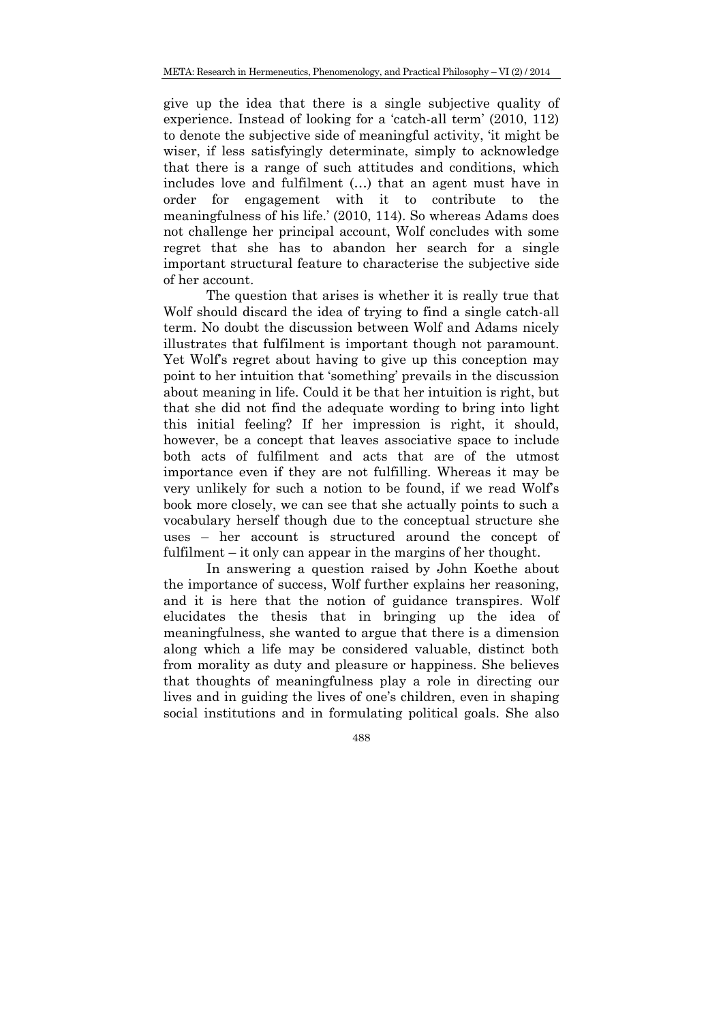give up the idea that there is a single subjective quality of experience. Instead of looking for a 'catch-all term' (2010, 112) to denote the subjective side of meaningful activity, 'it might be wiser, if less satisfyingly determinate, simply to acknowledge that there is a range of such attitudes and conditions, which includes love and fulfilment (…) that an agent must have in order for engagement with it to contribute to the meaningfulness of his life.' (2010, 114). So whereas Adams does not challenge her principal account, Wolf concludes with some regret that she has to abandon her search for a single important structural feature to characterise the subjective side of her account.

The question that arises is whether it is really true that Wolf should discard the idea of trying to find a single catch-all term. No doubt the discussion between Wolf and Adams nicely illustrates that fulfilment is important though not paramount. Yet Wolf's regret about having to give up this conception may point to her intuition that 'something' prevails in the discussion about meaning in life. Could it be that her intuition is right, but that she did not find the adequate wording to bring into light this initial feeling? If her impression is right, it should, however, be a concept that leaves associative space to include both acts of fulfilment and acts that are of the utmost importance even if they are not fulfilling. Whereas it may be very unlikely for such a notion to be found, if we read Wolf's book more closely, we can see that she actually points to such a vocabulary herself though due to the conceptual structure she uses – her account is structured around the concept of fulfilment – it only can appear in the margins of her thought.

 In answering a question raised by John Koethe about the importance of success, Wolf further explains her reasoning, and it is here that the notion of guidance transpires. Wolf elucidates the thesis that in bringing up the idea of meaningfulness, she wanted to argue that there is a dimension along which a life may be considered valuable, distinct both from morality as duty and pleasure or happiness. She believes that thoughts of meaningfulness play a role in directing our lives and in guiding the lives of one's children, even in shaping social institutions and in formulating political goals. She also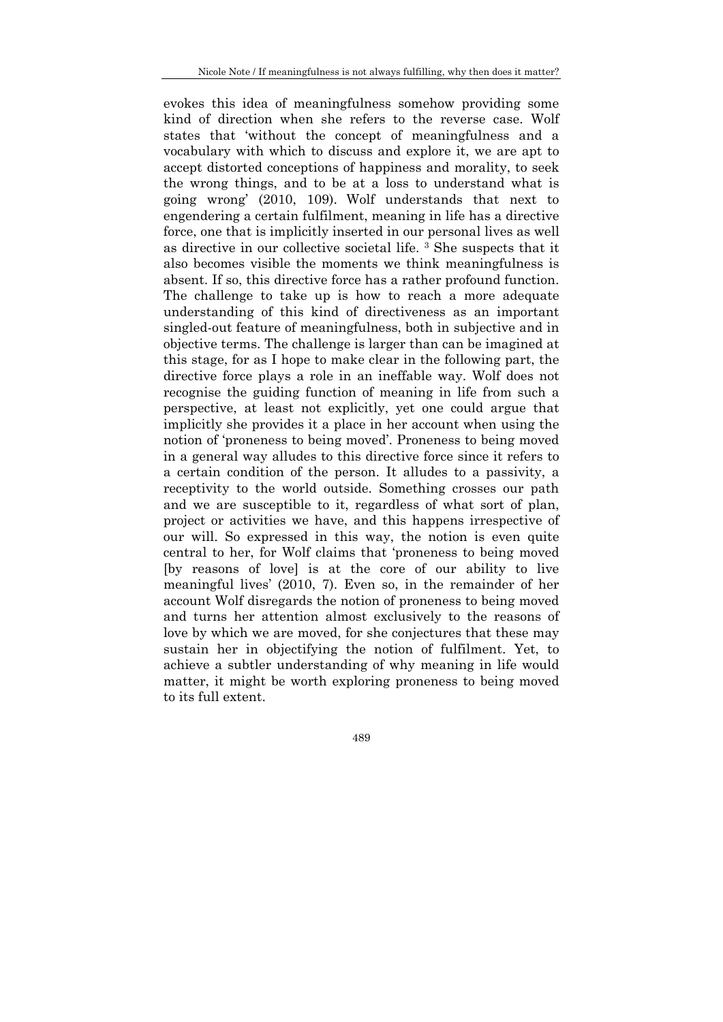evokes this idea of meaningfulness somehow providing some kind of direction when she refers to the reverse case. Wolf states that 'without the concept of meaningfulness and a vocabulary with which to discuss and explore it, we are apt to accept distorted conceptions of happiness and morality, to seek the wrong things, and to be at a loss to understand what is going wrong' (2010, 109). Wolf understands that next to engendering a certain fulfilment, meaning in life has a directive force, one that is implicitly inserted in our personal lives as well as directive in our collective societal life. 3 She suspects that it also becomes visible the moments we think meaningfulness is absent. If so, this directive force has a rather profound function. The challenge to take up is how to reach a more adequate understanding of this kind of directiveness as an important singled-out feature of meaningfulness, both in subjective and in objective terms. The challenge is larger than can be imagined at this stage, for as I hope to make clear in the following part, the directive force plays a role in an ineffable way. Wolf does not recognise the guiding function of meaning in life from such a perspective, at least not explicitly, yet one could argue that implicitly she provides it a place in her account when using the notion of 'proneness to being moved'. Proneness to being moved in a general way alludes to this directive force since it refers to a certain condition of the person. It alludes to a passivity, a receptivity to the world outside. Something crosses our path and we are susceptible to it, regardless of what sort of plan, project or activities we have, and this happens irrespective of our will. So expressed in this way, the notion is even quite central to her, for Wolf claims that 'proneness to being moved [by reasons of love] is at the core of our ability to live meaningful lives' (2010, 7). Even so, in the remainder of her account Wolf disregards the notion of proneness to being moved and turns her attention almost exclusively to the reasons of love by which we are moved, for she conjectures that these may sustain her in objectifying the notion of fulfilment. Yet, to achieve a subtler understanding of why meaning in life would matter, it might be worth exploring proneness to being moved to its full extent.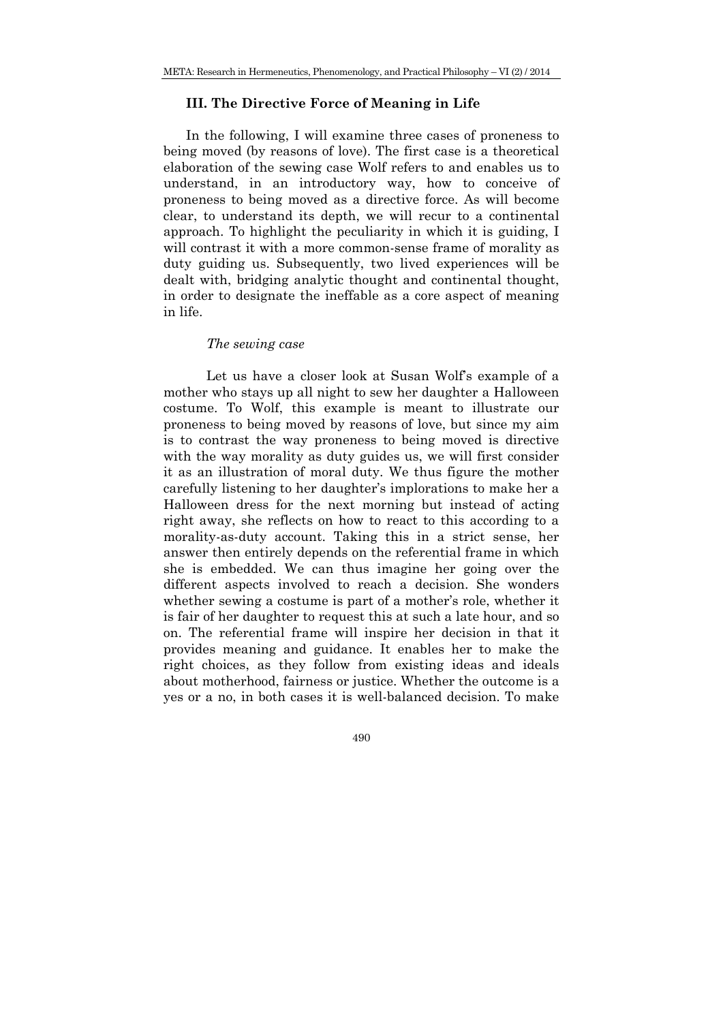### **III. The Directive Force of Meaning in Life**

In the following, I will examine three cases of proneness to being moved (by reasons of love). The first case is a theoretical elaboration of the sewing case Wolf refers to and enables us to understand, in an introductory way, how to conceive of proneness to being moved as a directive force. As will become clear, to understand its depth, we will recur to a continental approach. To highlight the peculiarity in which it is guiding, I will contrast it with a more common-sense frame of morality as duty guiding us. Subsequently, two lived experiences will be dealt with, bridging analytic thought and continental thought, in order to designate the ineffable as a core aspect of meaning in life.

### *The sewing case*

Let us have a closer look at Susan Wolf's example of a mother who stays up all night to sew her daughter a Halloween costume. To Wolf, this example is meant to illustrate our proneness to being moved by reasons of love, but since my aim is to contrast the way proneness to being moved is directive with the way morality as duty guides us, we will first consider it as an illustration of moral duty. We thus figure the mother carefully listening to her daughter's implorations to make her a Halloween dress for the next morning but instead of acting right away, she reflects on how to react to this according to a morality-as-duty account. Taking this in a strict sense, her answer then entirely depends on the referential frame in which she is embedded. We can thus imagine her going over the different aspects involved to reach a decision. She wonders whether sewing a costume is part of a mother's role, whether it is fair of her daughter to request this at such a late hour, and so on. The referential frame will inspire her decision in that it provides meaning and guidance. It enables her to make the right choices, as they follow from existing ideas and ideals about motherhood, fairness or justice. Whether the outcome is a yes or a no, in both cases it is well-balanced decision. To make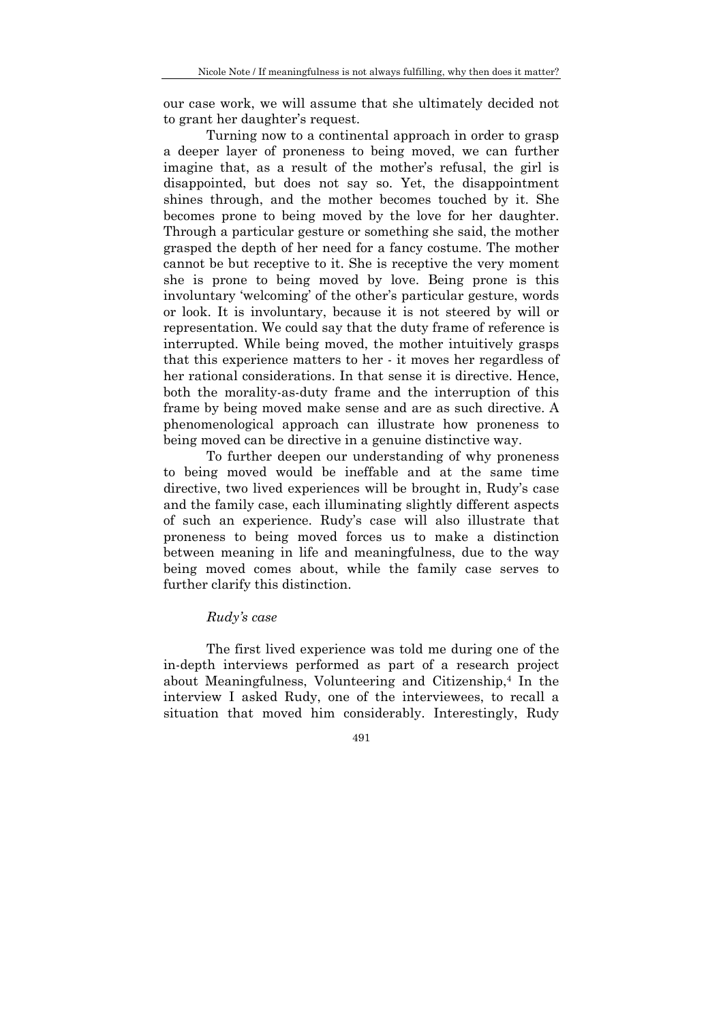our case work, we will assume that she ultimately decided not to grant her daughter's request.

Turning now to a continental approach in order to grasp a deeper layer of proneness to being moved, we can further imagine that, as a result of the mother's refusal, the girl is disappointed, but does not say so. Yet, the disappointment shines through, and the mother becomes touched by it. She becomes prone to being moved by the love for her daughter. Through a particular gesture or something she said, the mother grasped the depth of her need for a fancy costume. The mother cannot be but receptive to it. She is receptive the very moment she is prone to being moved by love. Being prone is this involuntary 'welcoming' of the other's particular gesture, words or look. It is involuntary, because it is not steered by will or representation. We could say that the duty frame of reference is interrupted. While being moved, the mother intuitively grasps that this experience matters to her - it moves her regardless of her rational considerations. In that sense it is directive. Hence, both the morality-as-duty frame and the interruption of this frame by being moved make sense and are as such directive. A phenomenological approach can illustrate how proneness to being moved can be directive in a genuine distinctive way.

To further deepen our understanding of why proneness to being moved would be ineffable and at the same time directive, two lived experiences will be brought in, Rudy's case and the family case, each illuminating slightly different aspects of such an experience. Rudy's case will also illustrate that proneness to being moved forces us to make a distinction between meaning in life and meaningfulness, due to the way being moved comes about, while the family case serves to further clarify this distinction.

## *Rudy's case*

 The first lived experience was told me during one of the in-depth interviews performed as part of a research project about Meaningfulness, Volunteering and Citizenship,4 In the interview I asked Rudy, one of the interviewees, to recall a situation that moved him considerably. Interestingly, Rudy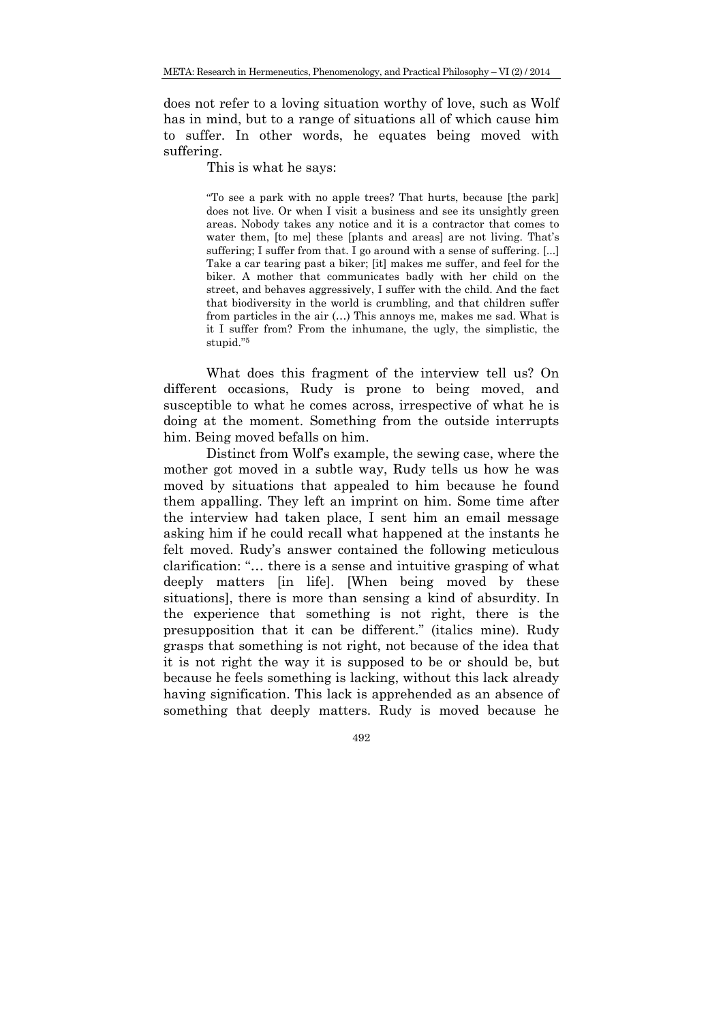does not refer to a loving situation worthy of love, such as Wolf has in mind, but to a range of situations all of which cause him to suffer. In other words, he equates being moved with suffering.

This is what he says:

"To see a park with no apple trees? That hurts, because [the park] does not live. Or when I visit a business and see its unsightly green areas. Nobody takes any notice and it is a contractor that comes to water them, [to me] these [plants and areas] are not living. That's suffering; I suffer from that. I go around with a sense of suffering. [...] Take a car tearing past a biker; [it] makes me suffer, and feel for the biker. A mother that communicates badly with her child on the street, and behaves aggressively, I suffer with the child. And the fact that biodiversity in the world is crumbling, and that children suffer from particles in the air (…) This annoys me, makes me sad. What is it I suffer from? From the inhumane, the ugly, the simplistic, the stupid."5

What does this fragment of the interview tell us? On different occasions, Rudy is prone to being moved, and susceptible to what he comes across, irrespective of what he is doing at the moment. Something from the outside interrupts him. Being moved befalls on him.

Distinct from Wolf's example, the sewing case, where the mother got moved in a subtle way, Rudy tells us how he was moved by situations that appealed to him because he found them appalling. They left an imprint on him. Some time after the interview had taken place, I sent him an email message asking him if he could recall what happened at the instants he felt moved. Rudy's answer contained the following meticulous clarification: "… there is a sense and intuitive grasping of what deeply matters [in life]. [When being moved by these situations], there is more than sensing a kind of absurdity. In the experience that something is not right, there is the presupposition that it can be different." (italics mine). Rudy grasps that something is not right, not because of the idea that it is not right the way it is supposed to be or should be, but because he feels something is lacking, without this lack already having signification. This lack is apprehended as an absence of something that deeply matters. Rudy is moved because he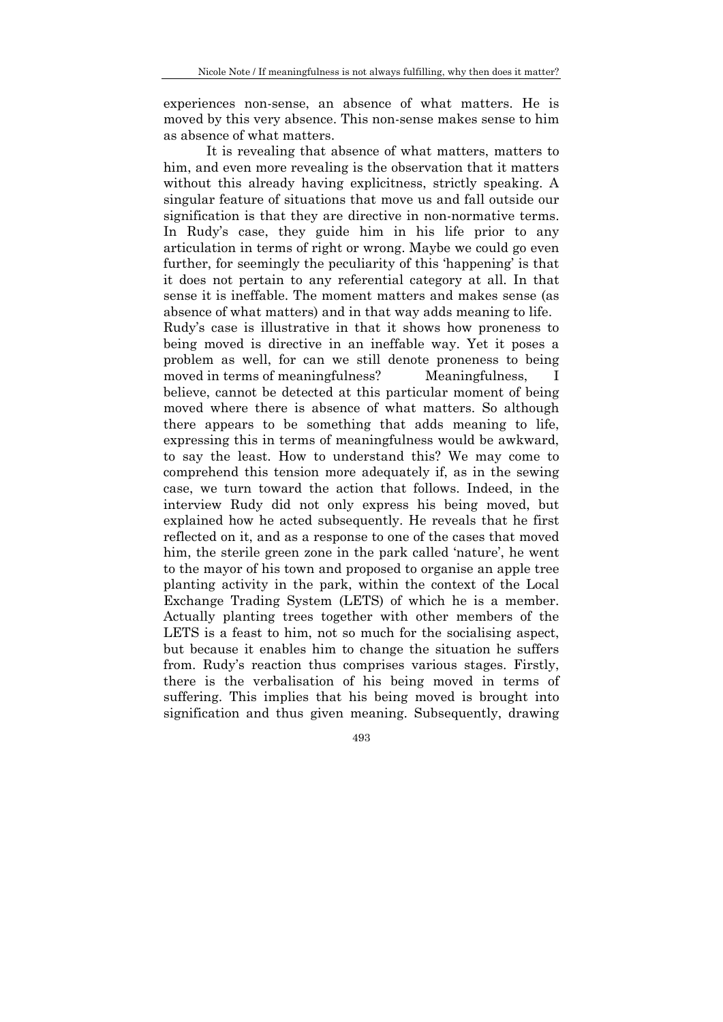experiences non-sense, an absence of what matters. He is moved by this very absence. This non-sense makes sense to him as absence of what matters.

It is revealing that absence of what matters, matters to him, and even more revealing is the observation that it matters without this already having explicitness, strictly speaking. A singular feature of situations that move us and fall outside our signification is that they are directive in non-normative terms. In Rudy's case, they guide him in his life prior to any articulation in terms of right or wrong. Maybe we could go even further, for seemingly the peculiarity of this 'happening' is that it does not pertain to any referential category at all. In that sense it is ineffable. The moment matters and makes sense (as absence of what matters) and in that way adds meaning to life. Rudy's case is illustrative in that it shows how proneness to being moved is directive in an ineffable way. Yet it poses a problem as well, for can we still denote proneness to being moved in terms of meaningfulness? Meaningfulness, I believe, cannot be detected at this particular moment of being moved where there is absence of what matters. So although there appears to be something that adds meaning to life, expressing this in terms of meaningfulness would be awkward, to say the least. How to understand this? We may come to comprehend this tension more adequately if, as in the sewing case, we turn toward the action that follows. Indeed, in the interview Rudy did not only express his being moved, but explained how he acted subsequently. He reveals that he first reflected on it, and as a response to one of the cases that moved him, the sterile green zone in the park called 'nature', he went to the mayor of his town and proposed to organise an apple tree planting activity in the park, within the context of the Local Exchange Trading System (LETS) of which he is a member. Actually planting trees together with other members of the LETS is a feast to him, not so much for the socialising aspect, but because it enables him to change the situation he suffers from. Rudy's reaction thus comprises various stages. Firstly, there is the verbalisation of his being moved in terms of suffering. This implies that his being moved is brought into signification and thus given meaning. Subsequently, drawing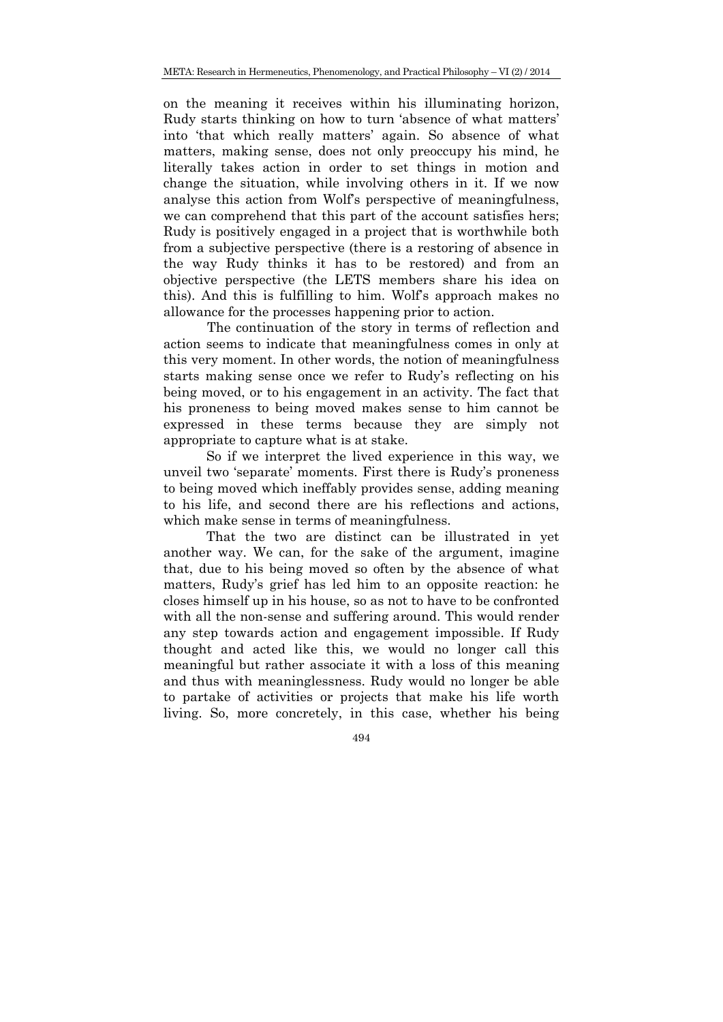on the meaning it receives within his illuminating horizon, Rudy starts thinking on how to turn 'absence of what matters' into 'that which really matters' again. So absence of what matters, making sense, does not only preoccupy his mind, he literally takes action in order to set things in motion and change the situation, while involving others in it. If we now analyse this action from Wolf's perspective of meaningfulness, we can comprehend that this part of the account satisfies hers; Rudy is positively engaged in a project that is worthwhile both from a subjective perspective (there is a restoring of absence in the way Rudy thinks it has to be restored) and from an objective perspective (the LETS members share his idea on this). And this is fulfilling to him. Wolf's approach makes no allowance for the processes happening prior to action.

The continuation of the story in terms of reflection and action seems to indicate that meaningfulness comes in only at this very moment. In other words, the notion of meaningfulness starts making sense once we refer to Rudy's reflecting on his being moved, or to his engagement in an activity. The fact that his proneness to being moved makes sense to him cannot be expressed in these terms because they are simply not appropriate to capture what is at stake.

So if we interpret the lived experience in this way, we unveil two 'separate' moments. First there is Rudy's proneness to being moved which ineffably provides sense, adding meaning to his life, and second there are his reflections and actions, which make sense in terms of meaningfulness.

That the two are distinct can be illustrated in yet another way. We can, for the sake of the argument, imagine that, due to his being moved so often by the absence of what matters, Rudy's grief has led him to an opposite reaction: he closes himself up in his house, so as not to have to be confronted with all the non-sense and suffering around. This would render any step towards action and engagement impossible. If Rudy thought and acted like this, we would no longer call this meaningful but rather associate it with a loss of this meaning and thus with meaninglessness. Rudy would no longer be able to partake of activities or projects that make his life worth living. So, more concretely, in this case, whether his being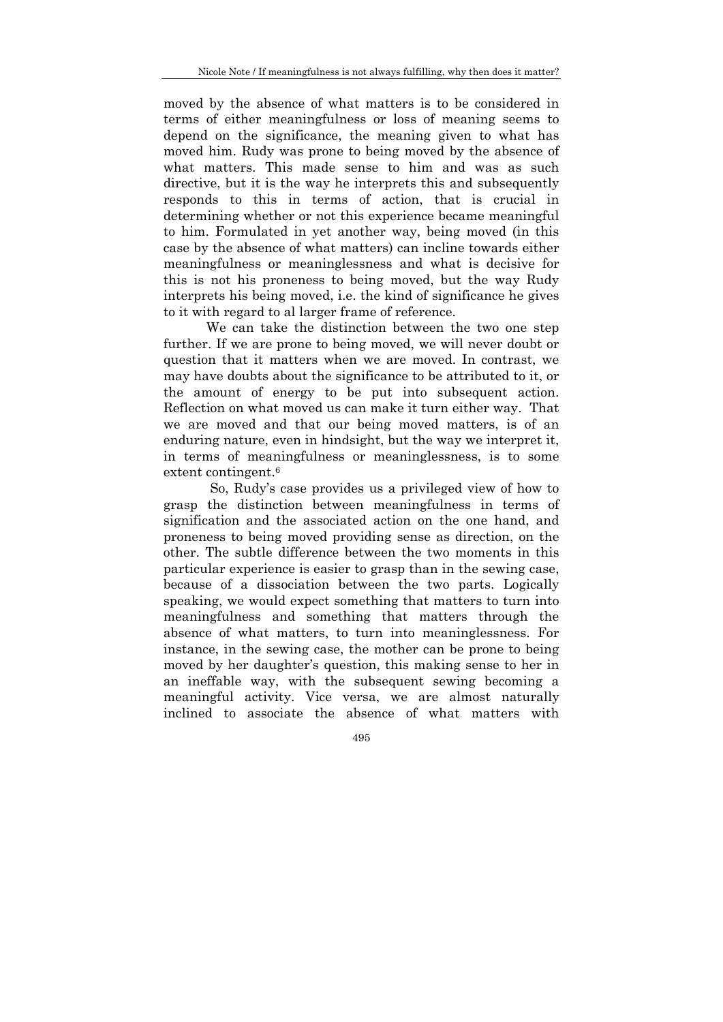moved by the absence of what matters is to be considered in terms of either meaningfulness or loss of meaning seems to depend on the significance, the meaning given to what has moved him. Rudy was prone to being moved by the absence of what matters. This made sense to him and was as such directive, but it is the way he interprets this and subsequently responds to this in terms of action, that is crucial in determining whether or not this experience became meaningful to him. Formulated in yet another way, being moved (in this case by the absence of what matters) can incline towards either meaningfulness or meaninglessness and what is decisive for this is not his proneness to being moved, but the way Rudy interprets his being moved, i.e. the kind of significance he gives to it with regard to al larger frame of reference.

We can take the distinction between the two one step further. If we are prone to being moved, we will never doubt or question that it matters when we are moved. In contrast, we may have doubts about the significance to be attributed to it, or the amount of energy to be put into subsequent action. Reflection on what moved us can make it turn either way. That we are moved and that our being moved matters, is of an enduring nature, even in hindsight, but the way we interpret it, in terms of meaningfulness or meaninglessness, is to some extent contingent.<sup>6</sup>

 So, Rudy's case provides us a privileged view of how to grasp the distinction between meaningfulness in terms of signification and the associated action on the one hand, and proneness to being moved providing sense as direction, on the other. The subtle difference between the two moments in this particular experience is easier to grasp than in the sewing case, because of a dissociation between the two parts. Logically speaking, we would expect something that matters to turn into meaningfulness and something that matters through the absence of what matters, to turn into meaninglessness. For instance, in the sewing case, the mother can be prone to being moved by her daughter's question, this making sense to her in an ineffable way, with the subsequent sewing becoming a meaningful activity. Vice versa, we are almost naturally inclined to associate the absence of what matters with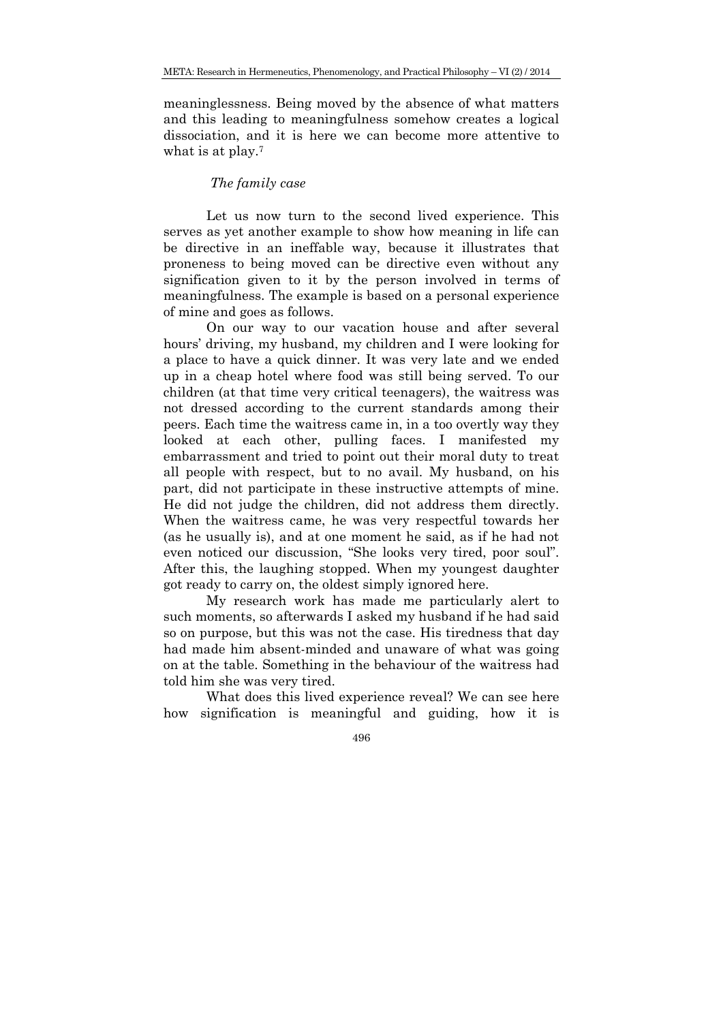meaninglessness. Being moved by the absence of what matters and this leading to meaningfulness somehow creates a logical dissociation, and it is here we can become more attentive to what is at play.<sup>7</sup>

## *The family case*

Let us now turn to the second lived experience. This serves as yet another example to show how meaning in life can be directive in an ineffable way, because it illustrates that proneness to being moved can be directive even without any signification given to it by the person involved in terms of meaningfulness. The example is based on a personal experience of mine and goes as follows.

On our way to our vacation house and after several hours' driving, my husband, my children and I were looking for a place to have a quick dinner. It was very late and we ended up in a cheap hotel where food was still being served. To our children (at that time very critical teenagers), the waitress was not dressed according to the current standards among their peers. Each time the waitress came in, in a too overtly way they looked at each other, pulling faces. I manifested my embarrassment and tried to point out their moral duty to treat all people with respect, but to no avail. My husband, on his part, did not participate in these instructive attempts of mine. He did not judge the children, did not address them directly. When the waitress came, he was very respectful towards her (as he usually is), and at one moment he said, as if he had not even noticed our discussion, "She looks very tired, poor soul". After this, the laughing stopped. When my youngest daughter got ready to carry on, the oldest simply ignored here.

My research work has made me particularly alert to such moments, so afterwards I asked my husband if he had said so on purpose, but this was not the case. His tiredness that day had made him absent-minded and unaware of what was going on at the table. Something in the behaviour of the waitress had told him she was very tired.

What does this lived experience reveal? We can see here how signification is meaningful and guiding, how it is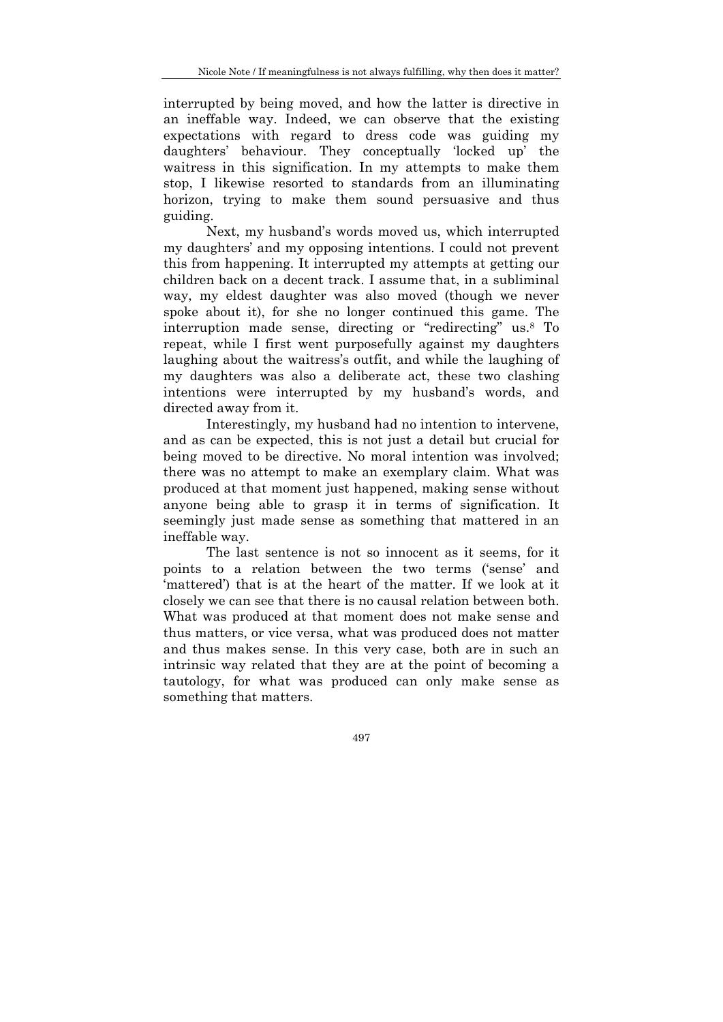interrupted by being moved, and how the latter is directive in an ineffable way. Indeed, we can observe that the existing expectations with regard to dress code was guiding my daughters' behaviour. They conceptually 'locked up' the waitress in this signification. In my attempts to make them stop, I likewise resorted to standards from an illuminating horizon, trying to make them sound persuasive and thus guiding.

Next, my husband's words moved us, which interrupted my daughters' and my opposing intentions. I could not prevent this from happening. It interrupted my attempts at getting our children back on a decent track. I assume that, in a subliminal way, my eldest daughter was also moved (though we never spoke about it), for she no longer continued this game. The interruption made sense, directing or "redirecting" us.8 To repeat, while I first went purposefully against my daughters laughing about the waitress's outfit, and while the laughing of my daughters was also a deliberate act, these two clashing intentions were interrupted by my husband's words, and directed away from it.

Interestingly, my husband had no intention to intervene, and as can be expected, this is not just a detail but crucial for being moved to be directive. No moral intention was involved; there was no attempt to make an exemplary claim. What was produced at that moment just happened, making sense without anyone being able to grasp it in terms of signification. It seemingly just made sense as something that mattered in an ineffable way.

The last sentence is not so innocent as it seems, for it points to a relation between the two terms ('sense' and 'mattered') that is at the heart of the matter. If we look at it closely we can see that there is no causal relation between both. What was produced at that moment does not make sense and thus matters, or vice versa, what was produced does not matter and thus makes sense. In this very case, both are in such an intrinsic way related that they are at the point of becoming a tautology, for what was produced can only make sense as something that matters.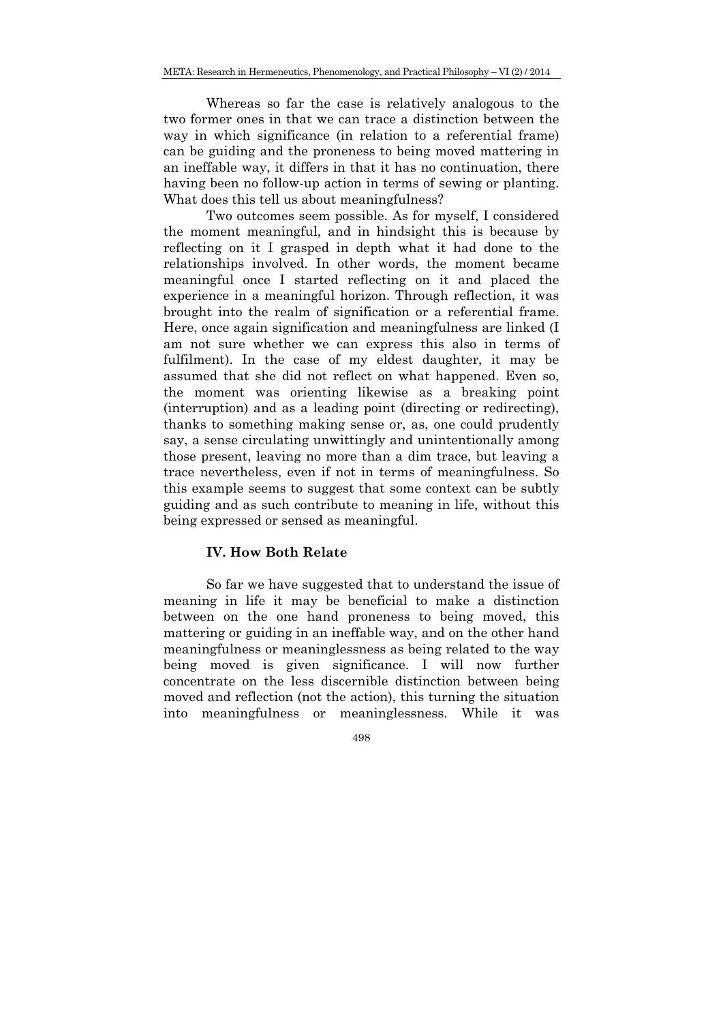Whereas so far the case is relatively analogous to the two former ones in that we can trace a distinction between the way in which significance (in relation to a referential frame) can be guiding and the proneness to being moved mattering in an ineffable way, it differs in that it has no continuation, there having been no follow-up action in terms of sewing or planting. What does this tell us about meaningfulness?

Two outcomes seem possible. As for myself, I considered the moment meaningful, and in hindsight this is because by reflecting on it I grasped in depth what it had done to the relationships involved. In other words, the moment became meaningful once I started reflecting on it and placed the experience in a meaningful horizon. Through reflection, it was brought into the realm of signification or a referential frame. Here, once again signification and meaningfulness are linked (I am not sure whether we can express this also in terms of fulfilment). In the case of my eldest daughter, it may be assumed that she did not reflect on what happened. Even so, the moment was orienting likewise as a breaking point (interruption) and as a leading point (directing or redirecting), thanks to something making sense or, as, one could prudently say, a sense circulating unwittingly and unintentionally among those present, leaving no more than a dim trace, but leaving a trace nevertheless, even if not in terms of meaningfulness. So this example seems to suggest that some context can be subtly guiding and as such contribute to meaning in life, without this being expressed or sensed as meaningful.

## **IV. How Both Relate**

So far we have suggested that to understand the issue of meaning in life it may be beneficial to make a distinction between on the one hand proneness to being moved, this mattering or guiding in an ineffable way, and on the other hand meaningfulness or meaninglessness as being related to the way being moved is given significance. I will now further concentrate on the less discernible distinction between being moved and reflection (not the action), this turning the situation into meaningfulness or meaninglessness. While it was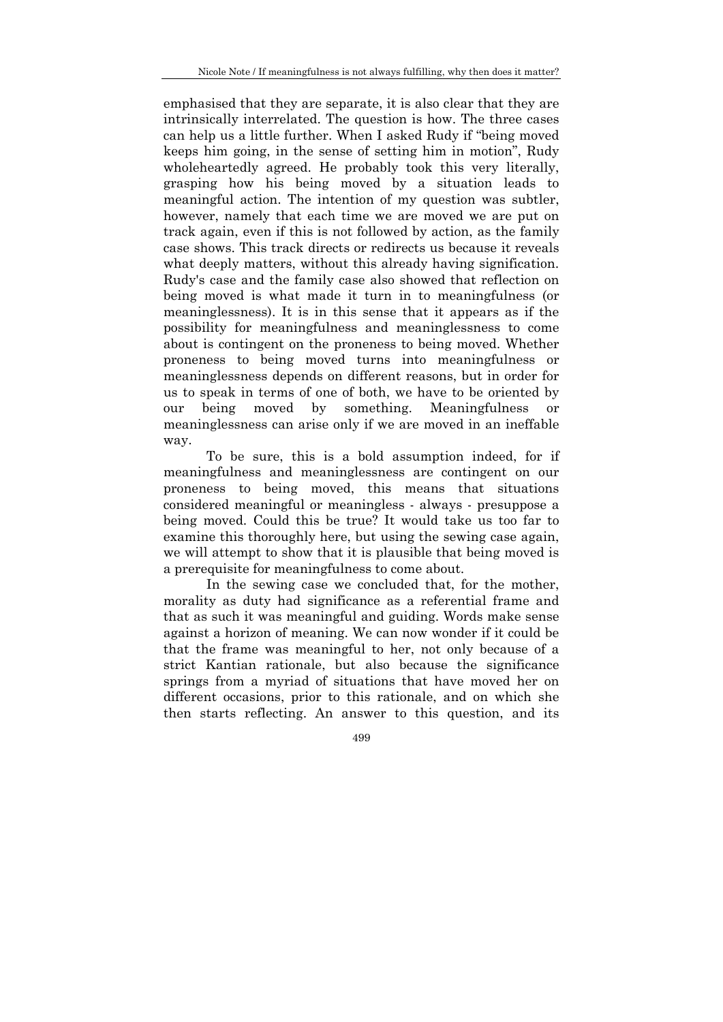emphasised that they are separate, it is also clear that they are intrinsically interrelated. The question is how. The three cases can help us a little further. When I asked Rudy if "being moved keeps him going, in the sense of setting him in motion", Rudy wholeheartedly agreed. He probably took this very literally, grasping how his being moved by a situation leads to meaningful action. The intention of my question was subtler, however, namely that each time we are moved we are put on track again, even if this is not followed by action, as the family case shows. This track directs or redirects us because it reveals what deeply matters, without this already having signification. Rudy's case and the family case also showed that reflection on being moved is what made it turn in to meaningfulness (or meaninglessness). It is in this sense that it appears as if the possibility for meaningfulness and meaninglessness to come about is contingent on the proneness to being moved. Whether proneness to being moved turns into meaningfulness or meaninglessness depends on different reasons, but in order for us to speak in terms of one of both, we have to be oriented by our being moved by something. Meaningfulness or meaninglessness can arise only if we are moved in an ineffable way.

To be sure, this is a bold assumption indeed, for if meaningfulness and meaninglessness are contingent on our proneness to being moved, this means that situations considered meaningful or meaningless - always - presuppose a being moved. Could this be true? It would take us too far to examine this thoroughly here, but using the sewing case again, we will attempt to show that it is plausible that being moved is a prerequisite for meaningfulness to come about.

In the sewing case we concluded that, for the mother, morality as duty had significance as a referential frame and that as such it was meaningful and guiding. Words make sense against a horizon of meaning. We can now wonder if it could be that the frame was meaningful to her, not only because of a strict Kantian rationale, but also because the significance springs from a myriad of situations that have moved her on different occasions, prior to this rationale, and on which she then starts reflecting. An answer to this question, and its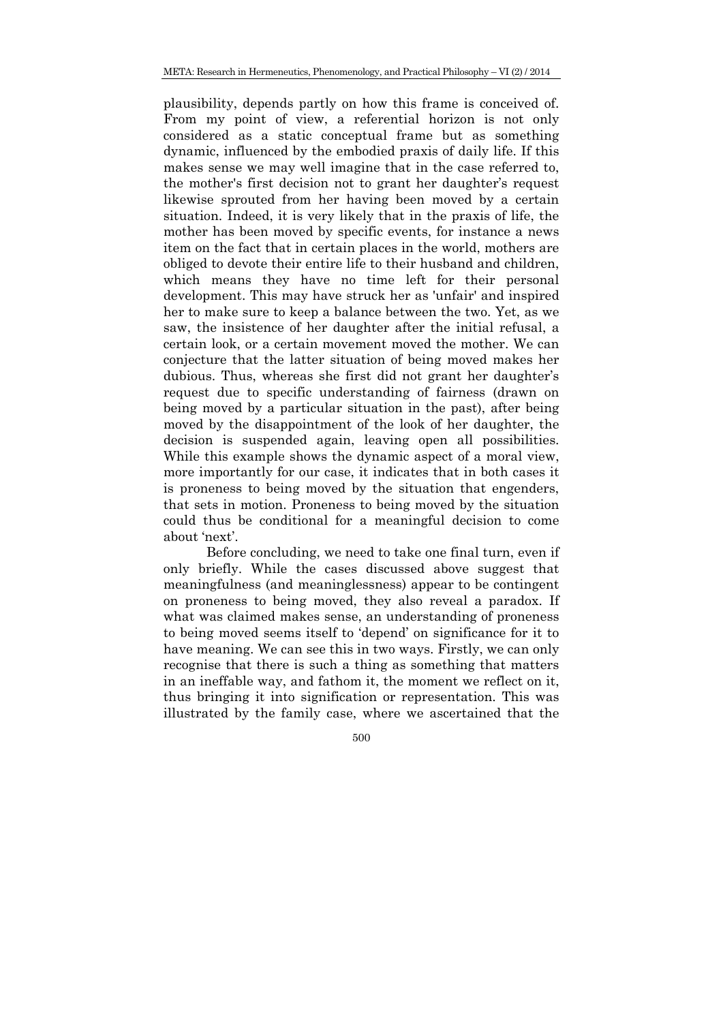plausibility, depends partly on how this frame is conceived of. From my point of view, a referential horizon is not only considered as a static conceptual frame but as something dynamic, influenced by the embodied praxis of daily life. If this makes sense we may well imagine that in the case referred to, the mother's first decision not to grant her daughter's request likewise sprouted from her having been moved by a certain situation. Indeed, it is very likely that in the praxis of life, the mother has been moved by specific events, for instance a news item on the fact that in certain places in the world, mothers are obliged to devote their entire life to their husband and children, which means they have no time left for their personal development. This may have struck her as 'unfair' and inspired her to make sure to keep a balance between the two. Yet, as we saw, the insistence of her daughter after the initial refusal, a certain look, or a certain movement moved the mother. We can conjecture that the latter situation of being moved makes her dubious. Thus, whereas she first did not grant her daughter's request due to specific understanding of fairness (drawn on being moved by a particular situation in the past), after being moved by the disappointment of the look of her daughter, the decision is suspended again, leaving open all possibilities. While this example shows the dynamic aspect of a moral view, more importantly for our case, it indicates that in both cases it is proneness to being moved by the situation that engenders, that sets in motion. Proneness to being moved by the situation could thus be conditional for a meaningful decision to come about 'next'.

Before concluding, we need to take one final turn, even if only briefly. While the cases discussed above suggest that meaningfulness (and meaninglessness) appear to be contingent on proneness to being moved, they also reveal a paradox. If what was claimed makes sense, an understanding of proneness to being moved seems itself to 'depend' on significance for it to have meaning. We can see this in two ways. Firstly, we can only recognise that there is such a thing as something that matters in an ineffable way, and fathom it, the moment we reflect on it, thus bringing it into signification or representation. This was illustrated by the family case, where we ascertained that the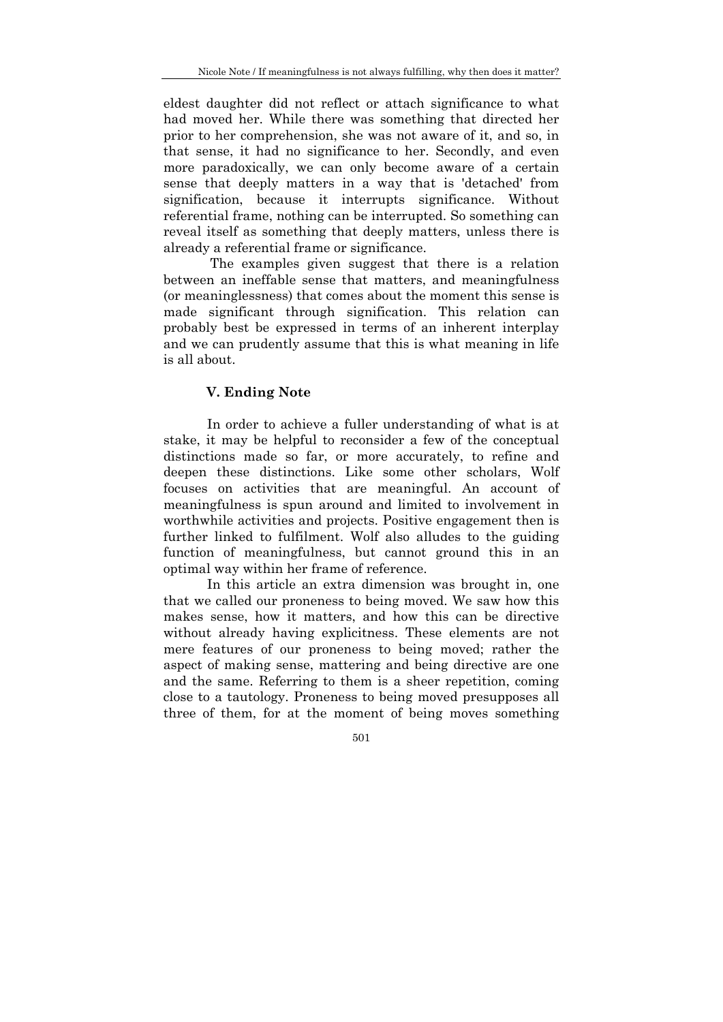eldest daughter did not reflect or attach significance to what had moved her. While there was something that directed her prior to her comprehension, she was not aware of it, and so, in that sense, it had no significance to her. Secondly, and even more paradoxically, we can only become aware of a certain sense that deeply matters in a way that is 'detached' from signification, because it interrupts significance. Without referential frame, nothing can be interrupted. So something can reveal itself as something that deeply matters, unless there is already a referential frame or significance.

 The examples given suggest that there is a relation between an ineffable sense that matters, and meaningfulness (or meaninglessness) that comes about the moment this sense is made significant through signification. This relation can probably best be expressed in terms of an inherent interplay and we can prudently assume that this is what meaning in life is all about.

# **V. Ending Note**

In order to achieve a fuller understanding of what is at stake, it may be helpful to reconsider a few of the conceptual distinctions made so far, or more accurately, to refine and deepen these distinctions. Like some other scholars, Wolf focuses on activities that are meaningful. An account of meaningfulness is spun around and limited to involvement in worthwhile activities and projects. Positive engagement then is further linked to fulfilment. Wolf also alludes to the guiding function of meaningfulness, but cannot ground this in an optimal way within her frame of reference.

In this article an extra dimension was brought in, one that we called our proneness to being moved. We saw how this makes sense, how it matters, and how this can be directive without already having explicitness. These elements are not mere features of our proneness to being moved; rather the aspect of making sense, mattering and being directive are one and the same. Referring to them is a sheer repetition, coming close to a tautology. Proneness to being moved presupposes all three of them, for at the moment of being moves something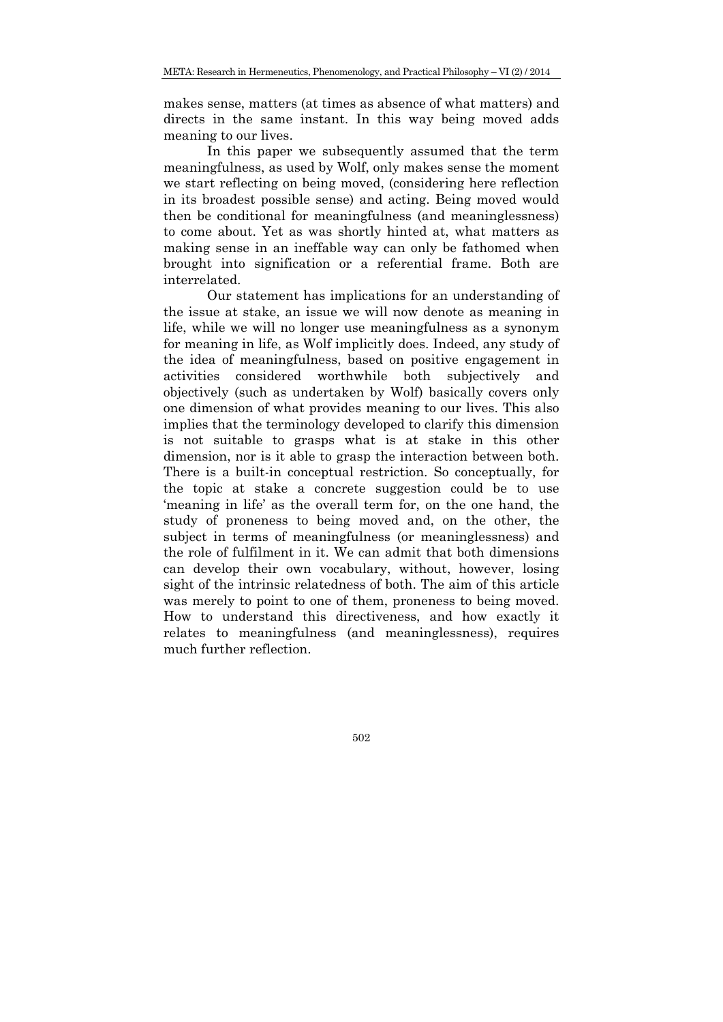makes sense, matters (at times as absence of what matters) and directs in the same instant. In this way being moved adds meaning to our lives.

In this paper we subsequently assumed that the term meaningfulness, as used by Wolf, only makes sense the moment we start reflecting on being moved, (considering here reflection in its broadest possible sense) and acting. Being moved would then be conditional for meaningfulness (and meaninglessness) to come about. Yet as was shortly hinted at, what matters as making sense in an ineffable way can only be fathomed when brought into signification or a referential frame. Both are interrelated.

Our statement has implications for an understanding of the issue at stake, an issue we will now denote as meaning in life, while we will no longer use meaningfulness as a synonym for meaning in life, as Wolf implicitly does. Indeed, any study of the idea of meaningfulness, based on positive engagement in activities considered worthwhile both subjectively and objectively (such as undertaken by Wolf) basically covers only one dimension of what provides meaning to our lives. This also implies that the terminology developed to clarify this dimension is not suitable to grasps what is at stake in this other dimension, nor is it able to grasp the interaction between both. There is a built-in conceptual restriction. So conceptually, for the topic at stake a concrete suggestion could be to use 'meaning in life' as the overall term for, on the one hand, the study of proneness to being moved and, on the other, the subject in terms of meaningfulness (or meaninglessness) and the role of fulfilment in it. We can admit that both dimensions can develop their own vocabulary, without, however, losing sight of the intrinsic relatedness of both. The aim of this article was merely to point to one of them, proneness to being moved. How to understand this directiveness, and how exactly it relates to meaningfulness (and meaninglessness), requires much further reflection.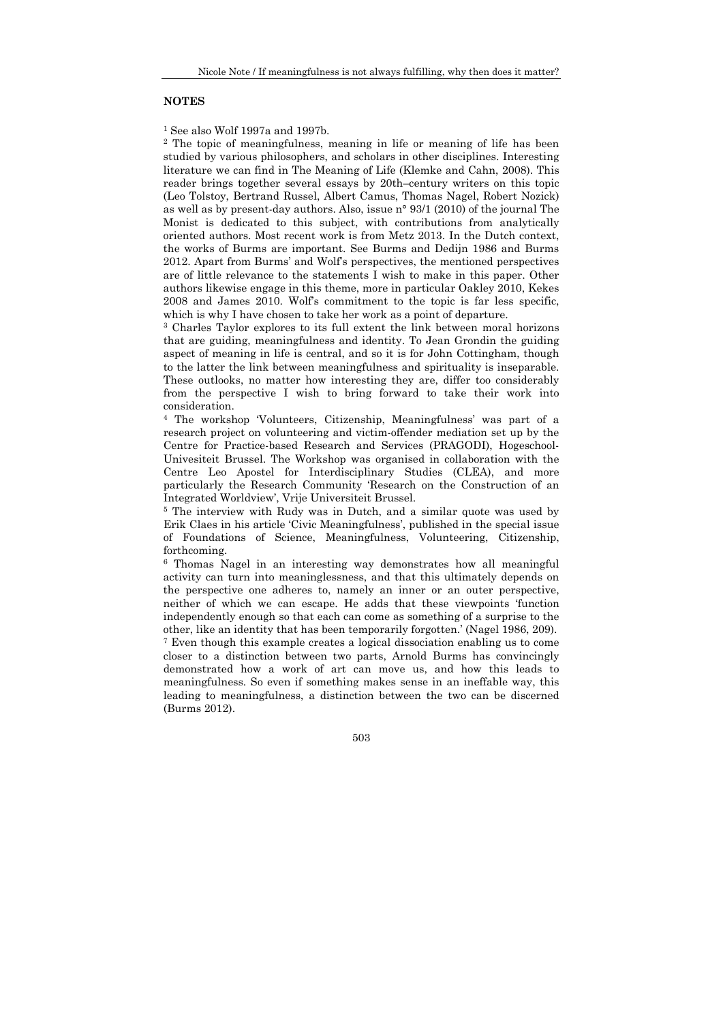#### **NOTES**

1 See also Wolf 1997a and 1997b.

2 The topic of meaningfulness, meaning in life or meaning of life has been studied by various philosophers, and scholars in other disciplines. Interesting literature we can find in The Meaning of Life (Klemke and Cahn, 2008). This reader brings together several essays by 20th–century writers on this topic (Leo Tolstoy, Bertrand Russel, Albert Camus, Thomas Nagel, Robert Nozick) as well as by present-day authors. Also, issue n° 93/1 (2010) of the journal The Monist is dedicated to this subject, with contributions from analytically oriented authors. Most recent work is from Metz 2013. In the Dutch context, the works of Burms are important. See Burms and Dedijn 1986 and Burms 2012. Apart from Burms' and Wolf's perspectives, the mentioned perspectives are of little relevance to the statements I wish to make in this paper. Other authors likewise engage in this theme, more in particular Oakley 2010, Kekes 2008 and James 2010. Wolf's commitment to the topic is far less specific, which is why I have chosen to take her work as a point of departure.

3 Charles Taylor explores to its full extent the link between moral horizons that are guiding, meaningfulness and identity. To Jean Grondin the guiding aspect of meaning in life is central, and so it is for John Cottingham, though to the latter the link between meaningfulness and spirituality is inseparable. These outlooks, no matter how interesting they are, differ too considerably from the perspective I wish to bring forward to take their work into consideration.

4 The workshop 'Volunteers, Citizenship, Meaningfulness' was part of a research project on volunteering and victim-offender mediation set up by the Centre for Practice-based Research and Services (PRAGODI), Hogeschool-Univesiteit Brussel. The Workshop was organised in collaboration with the Centre Leo Apostel for Interdisciplinary Studies (CLEA), and more particularly the Research Community 'Research on the Construction of an Integrated Worldview', Vrije Universiteit Brussel.<br><sup>5</sup> The interview with Rudy was in Dutch, and a similar quote was used by

Erik Claes in his article 'Civic Meaningfulness', published in the special issue of Foundations of Science, Meaningfulness, Volunteering, Citizenship, forthcoming.

6 Thomas Nagel in an interesting way demonstrates how all meaningful activity can turn into meaninglessness, and that this ultimately depends on the perspective one adheres to, namely an inner or an outer perspective, neither of which we can escape. He adds that these viewpoints 'function independently enough so that each can come as something of a surprise to the other, like an identity that has been temporarily forgotten.' (Nagel 1986, 209).

7 Even though this example creates a logical dissociation enabling us to come closer to a distinction between two parts, Arnold Burms has convincingly demonstrated how a work of art can move us, and how this leads to meaningfulness. So even if something makes sense in an ineffable way, this leading to meaningfulness, a distinction between the two can be discerned (Burms 2012).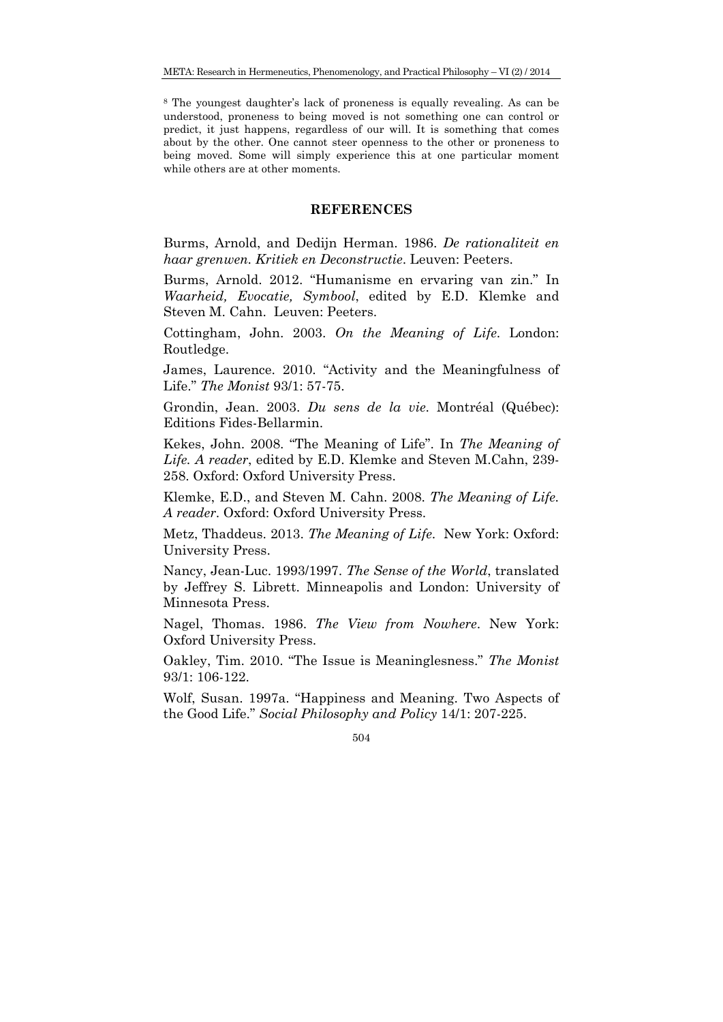8 The youngest daughter's lack of proneness is equally revealing. As can be understood, proneness to being moved is not something one can control or predict, it just happens, regardless of our will. It is something that comes about by the other. One cannot steer openness to the other or proneness to being moved. Some will simply experience this at one particular moment while others are at other moments.

### **REFERENCES**

Burms, Arnold, and Dedijn Herman. 1986. *De rationaliteit en haar grenwen. Kritiek en Deconstructie*. Leuven: Peeters.

Burms, Arnold. 2012. "Humanisme en ervaring van zin." In *Waarheid, Evocatie, Symbool*, edited by E.D. Klemke and Steven M. Cahn. Leuven: Peeters.

Cottingham, John. 2003. *On the Meaning of Life*. London: Routledge.

James, Laurence. 2010. "Activity and the Meaningfulness of Life." *The Monist* 93/1: 57-75.

Grondin, Jean. 2003. *Du sens de la vie*. Montréal (Québec): Editions Fides-Bellarmin.

Kekes, John. 2008. "The Meaning of Life". In *The Meaning of Life. A reader*, edited by E.D. Klemke and Steven M.Cahn, 239- 258. Oxford: Oxford University Press.

Klemke, E.D., and Steven M. Cahn. 2008. *The Meaning of Life. A reader*. Oxford: Oxford University Press.

Metz, Thaddeus. 2013. *The Meaning of Life*. New York: Oxford: University Press.

Nancy, Jean-Luc. 1993/1997. *The Sense of the World*, translated by Jeffrey S. Librett. Minneapolis and London: University of Minnesota Press.

Nagel, Thomas. 1986. *The View from Nowhere*. New York: Oxford University Press.

Oakley, Tim. 2010. "The Issue is Meaninglesness." *The Monist* 93/1: 106-122.

Wolf, Susan. 1997a. "Happiness and Meaning. Two Aspects of the Good Life." *Social Philosophy and Policy* 14/1: 207-225.